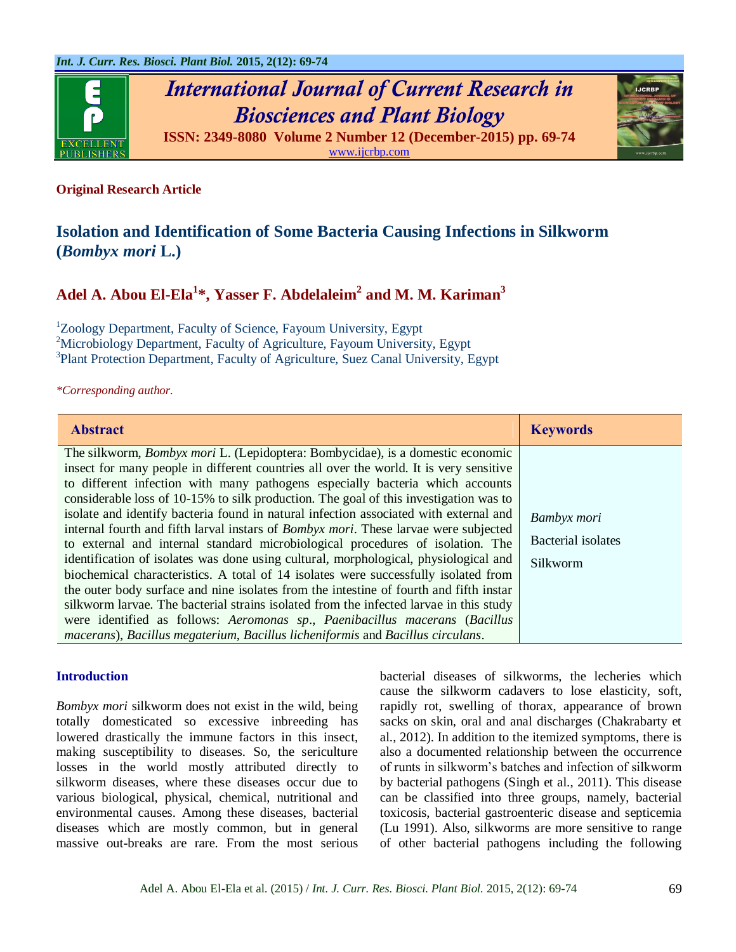

*International Journal of Current Research in Biosciences and Plant Biology* **ISSN: 2349-8080 Volume 2 Number 12 (December-2015) pp. 69-74**

[www.ijcrbp.com](http://www.ijcrbp.com/)

# **Original Research Article**

# **Isolation and Identification of Some Bacteria Causing Infections in Silkworm (***Bombyx mori* **L.)**

# **Adel A. Abou El-Ela<sup>1</sup> \*, Yasser F. Abdelaleim<sup>2</sup> and M. M. Kariman<sup>3</sup>**

<sup>1</sup>Zoology Department, Faculty of Science, Fayoum University, Egypt <sup>2</sup>Microbiology Department, Faculty of Agriculture, Fayoum University, Egypt <sup>3</sup>Plant Protection Department, Faculty of Agriculture, Suez Canal University, Egypt

*\*Corresponding author.*

| <b>Abstract</b>                                                                                                                                                                                                                                                                                                                                                                                                                                                                                                                                                                                                                                                                                                                                                                                                                                                                                                                                                                                                                                                                                                                                                          | <b>Keywords</b>                                      |
|--------------------------------------------------------------------------------------------------------------------------------------------------------------------------------------------------------------------------------------------------------------------------------------------------------------------------------------------------------------------------------------------------------------------------------------------------------------------------------------------------------------------------------------------------------------------------------------------------------------------------------------------------------------------------------------------------------------------------------------------------------------------------------------------------------------------------------------------------------------------------------------------------------------------------------------------------------------------------------------------------------------------------------------------------------------------------------------------------------------------------------------------------------------------------|------------------------------------------------------|
| The silkworm, <i>Bombyx mori</i> L. (Lepidoptera: Bombycidae), is a domestic economic<br>insect for many people in different countries all over the world. It is very sensitive<br>to different infection with many pathogens especially bacteria which accounts<br>considerable loss of 10-15% to silk production. The goal of this investigation was to<br>isolate and identify bacteria found in natural infection associated with external and<br>internal fourth and fifth larval instars of <i>Bombyx mori</i> . These larvae were subjected<br>to external and internal standard microbiological procedures of isolation. The<br>identification of isolates was done using cultural, morphological, physiological and<br>biochemical characteristics. A total of 14 isolates were successfully isolated from<br>the outer body surface and nine isolates from the intestine of fourth and fifth instar<br>silkworm larvae. The bacterial strains isolated from the infected larvae in this study<br>were identified as follows: Aeromonas sp., Paenibacillus macerans (Bacillus<br>macerans), Bacillus megaterium, Bacillus licheniformis and Bacillus circulans. | Bambyx mori<br><b>Bacterial</b> isolates<br>Silkworm |

#### **Introduction**

*Bombyx mori* silkworm does not exist in the wild, being totally domesticated so excessive inbreeding has lowered drastically the immune factors in this insect, making susceptibility to diseases. So, the sericulture losses in the world mostly attributed directly to silkworm diseases, where these diseases occur due to various biological, physical, chemical, nutritional and environmental causes. Among these diseases, bacterial diseases which are mostly common, but in general massive out-breaks are rare. From the most serious bacterial diseases of silkworms, the lecheries which cause the silkworm cadavers to lose elasticity, soft, rapidly rot, swelling of thorax, appearance of brown sacks on skin, oral and anal discharges (Chakrabarty et al., 2012). In addition to the itemized symptoms, there is also a documented relationship between the occurrence of runts in silkworm's batches and infection of silkworm by bacterial pathogens (Singh et al., 2011). This disease can be classified into three groups, namely, bacterial toxicosis, bacterial gastroenteric disease and septicemia (Lu 1991). Also, silkworms are more sensitive to range of other bacterial pathogens including the following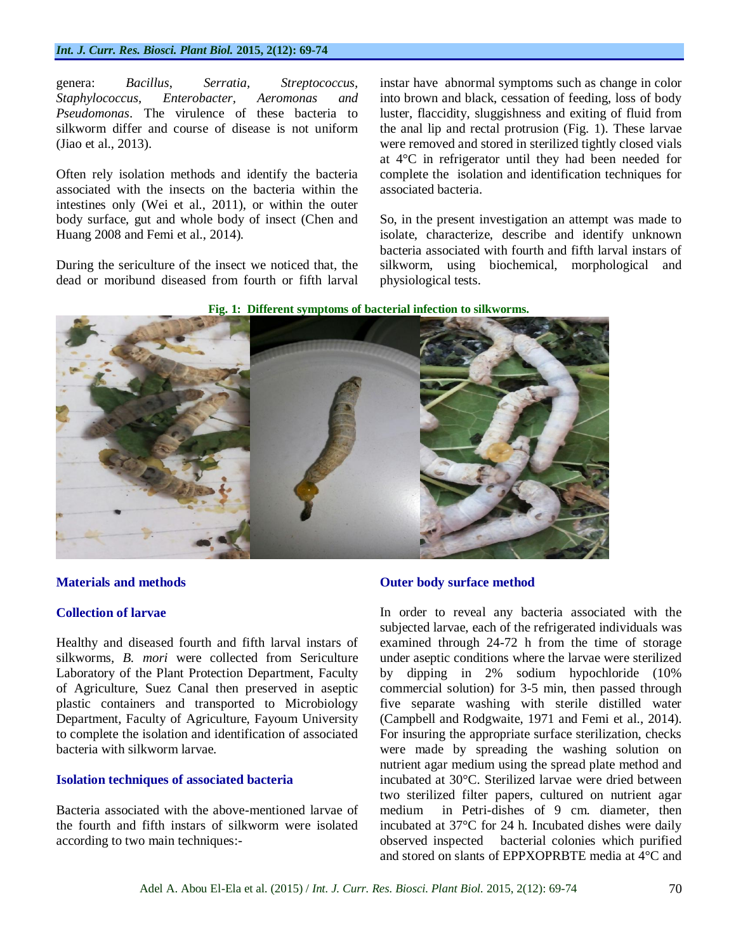#### *Int. J. Curr. Res. Biosci. Plant Biol.* **2015, 2(12): 69-74**

genera: *Bacillus*, *Serratia, Streptococcus, Staphylococcus, Enterobacter, Aeromonas and Pseudomonas*. The virulence of these bacteria to silkworm differ and course of disease is not uniform (Jiao et al., 2013).

Often rely isolation methods and identify the bacteria associated with the insects on the bacteria within the intestines only (Wei et al., 2011), or within the outer body surface, gut and whole body of insect (Chen and Huang 2008 and Femi et al., 2014).

During the sericulture of the insect we noticed that, the dead or moribund diseased from fourth or fifth larval instar have abnormal symptoms such as change in color into brown and black, cessation of feeding, loss of body luster, flaccidity, sluggishness and exiting of fluid from the anal lip and rectal protrusion (Fig. 1). These larvae were removed and stored in sterilized tightly closed vials at 4°C in refrigerator until they had been needed for complete the isolation and identification techniques for associated bacteria.

So, in the present investigation an attempt was made to isolate, characterize, describe and identify unknown bacteria associated with fourth and fifth larval instars of silkworm, using biochemical, morphological and physiological tests.





## **Materials and methods**

#### **Collection of larvae**

Healthy and diseased fourth and fifth larval instars of silkworms, *B. mori* were collected from Sericulture Laboratory of the Plant Protection Department, Faculty of Agriculture, Suez Canal then preserved in aseptic plastic containers and transported to Microbiology Department, Faculty of Agriculture, Fayoum University to complete the isolation and identification of associated bacteria with silkworm larvae.

#### **Isolation techniques of associated bacteria**

Bacteria associated with the above-mentioned larvae of the fourth and fifth instars of silkworm were isolated according to two main techniques:-

# **Outer body surface method**

In order to reveal any bacteria associated with the subjected larvae, each of the refrigerated individuals was examined through 24-72 h from the time of storage under aseptic conditions where the larvae were sterilized by dipping in 2% sodium hypochloride (10% commercial solution) for 3-5 min, then passed through five separate washing with sterile distilled water (Campbell and Rodgwaite, 1971 and Femi et al., 2014). For insuring the appropriate surface sterilization, checks were made by spreading the washing solution on nutrient agar medium using the spread plate method and incubated at 30°C. Sterilized larvae were dried between two sterilized filter papers, cultured on nutrient agar medium in Petri-dishes of 9 cm. diameter, then incubated at 37°C for 24 h. Incubated dishes were daily observed inspected bacterial colonies which purified and stored on slants of EPPXOPRBTE media at 4°C and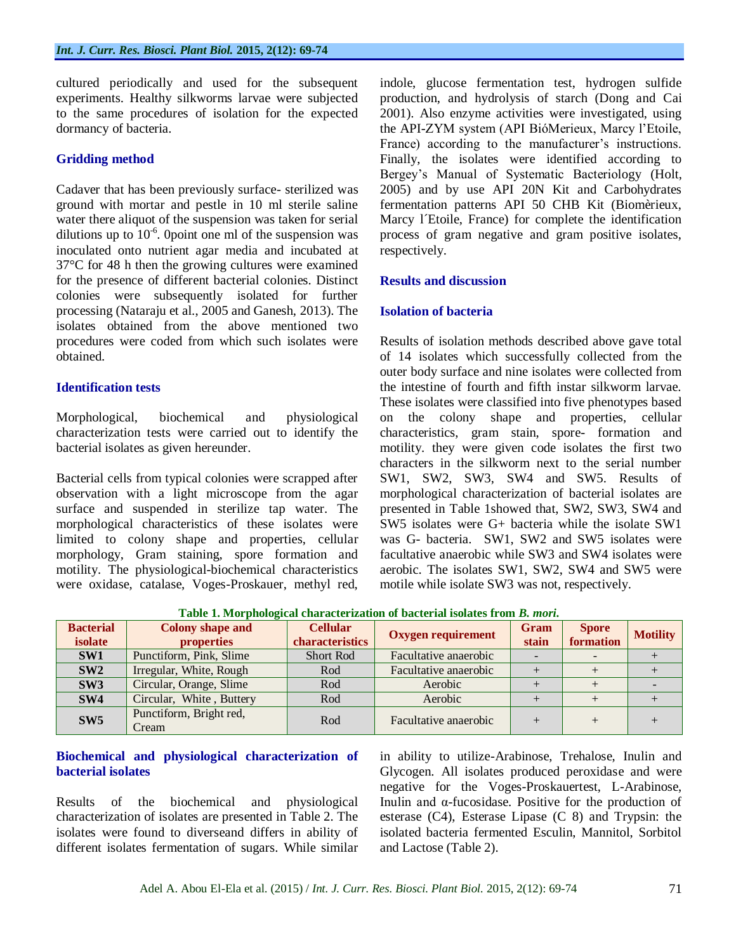cultured periodically and used for the subsequent experiments. Healthy silkworms larvae were subjected to the same procedures of isolation for the expected dormancy of bacteria.

### **Gridding method**

Cadaver that has been previously surface- sterilized was ground with mortar and pestle in 10 ml sterile saline water there aliquot of the suspension was taken for serial dilutions up to  $10^{-6}$ . Opoint one ml of the suspension was inoculated onto nutrient agar media and incubated at 37°C for 48 h then the growing cultures were examined for the presence of different bacterial colonies. Distinct colonies were subsequently isolated for further processing (Nataraju et al., 2005 and Ganesh, 2013). The isolates obtained from the above mentioned two procedures were coded from which such isolates were obtained.

# **Identification tests**

Morphological, biochemical and physiological characterization tests were carried out to identify the bacterial isolates as given hereunder.

Bacterial cells from typical colonies were scrapped after observation with a light microscope from the agar surface and suspended in sterilize tap water. The morphological characteristics of these isolates were limited to colony shape and properties, cellular morphology, Gram staining, spore formation and motility. The physiological-biochemical characteristics were oxidase, catalase, Voges-Proskauer, methyl red,

indole, glucose fermentation test, hydrogen sulfide production, and hydrolysis of starch (Dong and Cai 2001). Also enzyme activities were investigated, using the API-ZYM system (API BióMerieux, Marcy l'Etoile, France) according to the manufacturer's instructions. Finally, the isolates were identified according to Bergey's Manual of Systematic Bacteriology (Holt, 2005) and by use API 20N Kit and Carbohydrates fermentation patterns API 50 CHB Kit (Biomèrieux, Marcy l´Etoile, France) for complete the identification process of gram negative and gram positive isolates, respectively.

# **Results and discussion**

#### **Isolation of bacteria**

Results of isolation methods described above gave total of 14 isolates which successfully collected from the outer body surface and nine isolates were collected from the intestine of fourth and fifth instar silkworm larvae. These isolates were classified into five phenotypes based on the colony shape and properties, cellular characteristics, gram stain, spore- formation and motility. they were given code isolates the first two characters in the silkworm next to the serial number SW1, SW2, SW3, SW4 and SW5. Results of morphological characterization of bacterial isolates are presented in Table 1showed that, SW2, SW3, SW4 and SW5 isolates were G+ bacteria while the isolate SW1 was G- bacteria. SW1, SW2 and SW5 isolates were facultative anaerobic while SW3 and SW4 isolates were aerobic. The isolates SW1, SW2, SW4 and SW5 were motile while isolate SW3 was not, respectively.

| Table 1. Mol photogical characterization of bacterial isolates if only <i>b</i> , <i>mort</i> , |                                  |                  |                           |             |              |                 |  |
|-------------------------------------------------------------------------------------------------|----------------------------------|------------------|---------------------------|-------------|--------------|-----------------|--|
| <b>Bacterial</b>                                                                                | <b>Colony shape and</b>          | <b>Cellular</b>  | <b>Oxygen requirement</b> | <b>Gram</b> | <b>Spore</b> | <b>Motility</b> |  |
| isolate                                                                                         | properties                       | characteristics  |                           | stain       | formation    |                 |  |
| SW1                                                                                             | Punctiform, Pink, Slime          | <b>Short Rod</b> | Facultative anaerobic     |             |              |                 |  |
| SW2                                                                                             | Irregular, White, Rough          | Rod              | Facultative anaerobic     |             |              |                 |  |
| SW3                                                                                             | Circular, Orange, Slime          | Rod              | Aerobic                   |             |              |                 |  |
| SW4                                                                                             | Circular, White, Buttery         | Rod              | Aerobic                   |             |              |                 |  |
| SW5                                                                                             | Punctiform, Bright red,<br>Cream | Rod              | Facultative anaerobic     |             |              |                 |  |

**Table 1. Morphological characterization of bacterial isolates from** *B. mori***.**

# **Biochemical and physiological characterization of bacterial isolates**

Results of the biochemical and physiological characterization of isolates are presented in Table 2. The isolates were found to diverseand differs in ability of different isolates fermentation of sugars. While similar

in ability to utilize-Arabinose, Trehalose, Inulin and Glycogen. All isolates produced peroxidase and were negative for the Voges-Proskauertest, L-Arabinose, Inulin and α-fucosidase. Positive for the production of esterase (C4), Esterase Lipase (C 8) and Trypsin: the isolated bacteria fermented Esculin, Mannitol, Sorbitol and Lactose (Table 2).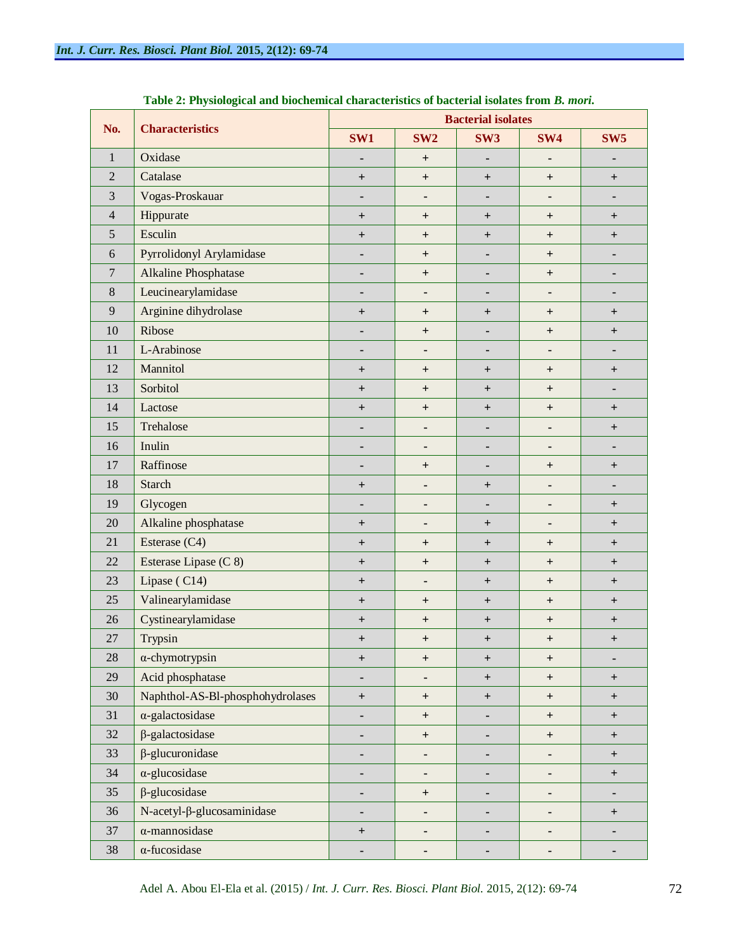| No.            | <b>Characteristics</b>                | <b>Bacterial isolates</b>        |                              |                  |                                  |                                  |  |
|----------------|---------------------------------------|----------------------------------|------------------------------|------------------|----------------------------------|----------------------------------|--|
|                |                                       | SW1                              | SW <sub>2</sub>              | SW <sub>3</sub>  | SW4                              | SW <sub>5</sub>                  |  |
| $\mathbf{1}$   | Oxidase                               | $\blacksquare$                   | $\ddot{}$                    |                  |                                  |                                  |  |
| $\overline{2}$ | Catalase                              | $\begin{array}{c} + \end{array}$ | $+$                          | $+$              | $\ddot{}$                        | $\begin{array}{c} + \end{array}$ |  |
| 3              | Vogas-Proskauar                       | ٠                                | $\blacksquare$               | ۰                |                                  | ٠                                |  |
| $\overline{4}$ | Hippurate                             | $^{+}$                           | $\ddot{}$                    | $+$              | $^{+}$                           | $^{+}$                           |  |
| 5              | Esculin                               | $\begin{array}{c} + \end{array}$ | $+$                          | $+$              | $\ddot{}$                        | $\begin{array}{c} + \end{array}$ |  |
| 6              | Pyrrolidonyl Arylamidase              | ٠                                | $+$                          | ٠                | $\ddot{}$                        | ۰                                |  |
| $\overline{7}$ | Alkaline Phosphatase                  | $\blacksquare$                   | $+$                          | $\blacksquare$   | $^{+}$                           | ۰                                |  |
| $8\,$          | Leucinearylamidase                    | ٠                                | $\blacksquare$               | ٠                |                                  |                                  |  |
| 9              | Arginine dihydrolase                  | $\boldsymbol{+}$                 | $\overline{+}$               | $+$              | $^{+}$                           | $^{+}$                           |  |
| 10             | Ribose                                | ٠                                | $+$                          |                  | $^{+}$                           | $\overline{+}$                   |  |
| 11             | L-Arabinose                           | ٠                                | $\qquad \qquad \blacksquare$ | ٠                |                                  | ۰                                |  |
| 12             | Mannitol                              | $\begin{array}{c} + \end{array}$ | $\overline{+}$               | $+$              | $^{+}$                           | $\pm$                            |  |
| 13             | Sorbitol                              | $\ddot{}$                        | $\ddot{}$                    | $+$              | $^{+}$                           | -                                |  |
| 14             | Lactose                               | $\boldsymbol{+}$                 | $+$                          | $+$              | $\ddot{}$                        | $\pm$                            |  |
| 15             | Trehalose                             | ٠                                |                              | ٠                |                                  | $^{+}$                           |  |
| 16             | Inulin                                | ٠                                | $\blacksquare$               |                  | $\blacksquare$                   | ٠                                |  |
| 17             | Raffinose                             | ٠                                | $\overline{+}$               |                  | $^{+}$                           | $\pm$                            |  |
| 18             | <b>Starch</b>                         | $\begin{array}{c} + \end{array}$ |                              | $+$              |                                  | ۰                                |  |
| 19             | Glycogen                              | $\blacksquare$                   |                              | $\blacksquare$   | $\blacksquare$                   | $^{+}$                           |  |
| 20             | Alkaline phosphatase                  | $\boldsymbol{+}$                 | $\overline{\phantom{a}}$     | $+$              |                                  | $\overline{+}$                   |  |
| 21             | Esterase (C4)                         | $\begin{array}{c} + \end{array}$ | $\overline{+}$               | $+$              | $^{+}$                           | $\overline{+}$                   |  |
| 22             | Esterase Lipase (C 8)                 | $\ddot{}$                        | $+$                          | $+$              | $^{+}$                           | $^{+}$                           |  |
| 23             | Lipase (C14)                          | $\pm$                            | $\qquad \qquad \blacksquare$ | $+$              | $\ddot{}$                        | $^{+}$                           |  |
| 25             | Valinearylamidase                     | $\begin{array}{c} + \end{array}$ | $^{+}$                       | $+$              | $\ddot{}$                        | $^{+}$                           |  |
| 26             | Cystinearylamidase                    | $\ddot{}$                        | $\ddot{}$                    | $+$              | $\ddot{}$                        | $^{+}$                           |  |
| 27             | Trypsin                               | $\boldsymbol{+}$                 | $\overline{+}$               | $\ddot{}$        | $\ddot{}$                        | $\pm$                            |  |
| 28             | $\alpha$ -chymotrypsin                | $^{\mathrm{+}}$                  | $\ddot{}$                    | $+$              | $\ddot{}$                        | ٠                                |  |
| 29             | Acid phosphatase                      | ٠                                |                              | $+$              | $\begin{array}{c} + \end{array}$ | $+$                              |  |
| 30             | Naphthol-AS-Bl-phosphohydrolases      | $+$                              | $\boldsymbol{+}$             | $\boldsymbol{+}$ | $\boldsymbol{+}$                 | $\begin{array}{c} + \end{array}$ |  |
| 31             | $\alpha$ -galactosidase               | ٠                                | $\ddot{}$                    | ٠                | $\ddot{}$                        | $\begin{array}{c} + \end{array}$ |  |
| 32             | $\beta$ -galactosidase                | ٠                                | $+$                          |                  | $\begin{array}{c} + \end{array}$ | $+$                              |  |
| 33             | $\beta$ -glucuronidase                | ٠                                | ۰                            |                  | -                                | $\begin{array}{c} + \end{array}$ |  |
| 34             | $\alpha$ -glucosidase                 | ٠                                | ٠                            | ۰                | ٠                                | $\begin{array}{c} + \end{array}$ |  |
| 35             | $\beta$ -glucosidase                  | ٠                                | $\ddot{}$                    | ٠                | ٠                                | ٠                                |  |
| 36             | $N$ -acetyl- $\beta$ -glucosaminidase | ۰                                | ۰                            | ۰                | ٠                                | $+$                              |  |
| 37             | $\alpha$ -mannosidase                 | $^{\mathrm{+}}$                  | ٠                            | ٠                | ۰                                | ۰                                |  |
| 38             | $\alpha$ -fucosidase                  | ٠                                |                              |                  |                                  |                                  |  |

**Table 2: Physiological and biochemical characteristics of bacterial isolates from** *B. mori***.**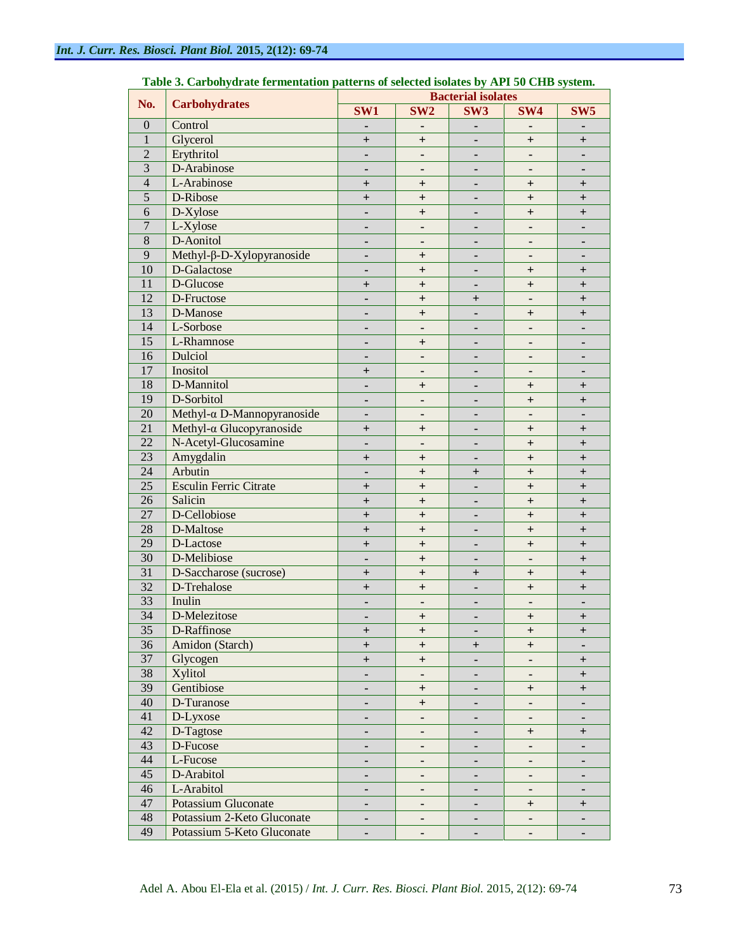| No.              | <b>Carbohydrates</b>             | <b>Bacterial isolates</b>        |                                  |                                  |                          |                                  |  |
|------------------|----------------------------------|----------------------------------|----------------------------------|----------------------------------|--------------------------|----------------------------------|--|
|                  |                                  | SW1                              | SW <sub>2</sub>                  | SW <sub>3</sub>                  | SW <sub>4</sub>          | SW <sub>5</sub>                  |  |
| $\boldsymbol{0}$ | Control                          |                                  |                                  |                                  |                          |                                  |  |
| $\mathbf{1}$     | Glycerol                         | $\ddot{}$                        | $\ddot{}$                        |                                  | $+$                      | $\overline{+}$                   |  |
| $\overline{2}$   | Erythritol                       |                                  | $\qquad \qquad \blacksquare$     |                                  |                          |                                  |  |
| $\overline{3}$   | D-Arabinose                      |                                  | $\qquad \qquad \blacksquare$     |                                  |                          |                                  |  |
| $\overline{4}$   | L-Arabinose                      | $^{+}$                           | $^{+}$                           |                                  | $^{+}$                   | $^{+}$                           |  |
| $\overline{5}$   | D-Ribose                         | $^{+}$                           | $^{+}$                           |                                  | $+$                      | $^{+}$                           |  |
| 6                | $D-Xylose$                       |                                  | $^{+}$                           |                                  | $+$                      | $^{+}$                           |  |
| $\overline{7}$   | L-Xylose                         |                                  | $\qquad \qquad \blacksquare$     |                                  |                          |                                  |  |
| $\overline{8}$   | D-Aonitol                        |                                  | $\qquad \qquad \blacksquare$     |                                  |                          |                                  |  |
| $\overline{9}$   | Methyl-β-D-Xylopyranoside        |                                  | $\overline{+}$                   |                                  |                          |                                  |  |
| 10               | D-Galactose                      |                                  | $\ddot{}$                        |                                  | $^{+}$                   | $\boldsymbol{+}$                 |  |
| 11               | D-Glucose                        | $\boldsymbol{+}$                 | $\ddot{}$                        |                                  | $^{+}$                   | $\overline{+}$                   |  |
| 12               | D-Fructose                       |                                  | $\ddot{}$                        | $\ddot{}$                        |                          | $\overline{+}$                   |  |
| $\overline{13}$  | D-Manose                         |                                  | $\ddot{}$                        |                                  | $\ddag$                  | $\overline{+}$                   |  |
| $\overline{14}$  | L-Sorbose                        |                                  | $\blacksquare$                   |                                  |                          |                                  |  |
| $\overline{15}$  | L-Rhamnose                       |                                  | $\ddot{}$                        |                                  |                          |                                  |  |
| 16               | Dulciol                          |                                  | $\overline{\phantom{a}}$         |                                  |                          |                                  |  |
| 17               | Inositol                         | $\boldsymbol{+}$                 | $\overline{\phantom{a}}$         |                                  |                          |                                  |  |
| $\overline{18}$  | D-Mannitol                       |                                  | $\ddot{}$                        |                                  | $\ddag$                  | $\boldsymbol{+}$                 |  |
| $\overline{19}$  | D-Sorbitol                       |                                  | $\overline{\phantom{m}}$         |                                  | $^{+}$                   | $\boldsymbol{+}$                 |  |
| $\overline{20}$  | Methyl-α D-Mannopyranoside       |                                  | $\overline{\phantom{m}}$         |                                  |                          |                                  |  |
| $\overline{21}$  | Methyl- $\alpha$ Glucopyranoside | $\ddot{}$                        | $\ddot{}$                        |                                  | $^{+}$                   | $\overline{+}$                   |  |
| $\overline{22}$  | N-Acetyl-Glucosamine             |                                  | $\overline{\phantom{m}}$         |                                  | $^{+}$                   | $\overline{+}$                   |  |
| $\overline{23}$  | Amygdalin                        |                                  |                                  |                                  |                          |                                  |  |
| $\overline{24}$  | Arbutin                          | $^{+}$                           | $\ddot{}$                        |                                  | $^{+}$                   | $\overline{+}$                   |  |
| $\overline{25}$  | <b>Esculin Ferric Citrate</b>    |                                  | $\ddot{}$                        | $\ddot{}$                        | $\ddot{}$                | $\overline{+}$                   |  |
| $\overline{26}$  | Salicin                          | $^{+}$                           | $\ddot{}$                        |                                  | $^{+}$                   | $\overline{+}$                   |  |
| 27               | D-Cellobiose                     | $\ddot{}$                        | $\ddot{}$                        |                                  | $^{+}$                   | $\overline{+}$                   |  |
| $\overline{28}$  | D-Maltose                        | $\ddot{}$                        | $\ddot{}$                        |                                  | $^{+}$                   | $\overline{+}$                   |  |
| $\overline{29}$  |                                  | $\ddot{}$                        | $\ddot{}$                        |                                  | $^{+}$                   | $\overline{+}$                   |  |
| $\overline{30}$  | D-Lactose                        | $\ddot{}$                        | $\ddot{}$                        |                                  | $\ddot{}$                | $\overline{+}$                   |  |
| $\overline{31}$  | D-Melibiose                      |                                  | $\ddot{}$                        |                                  |                          | $\overline{+}$                   |  |
| $\overline{32}$  | D-Saccharose (sucrose)           | $\ddot{}$                        | $\ddot{}$                        | $\ddot{}$                        | $\, +$                   | $\overline{+}$                   |  |
| $\overline{33}$  | D-Trehalose                      | $\ddot{}$                        | $\ddot{}$                        |                                  | $^{+}$                   | $\overline{+}$                   |  |
|                  | Inulin                           |                                  | $\overline{\phantom{m}}$         |                                  |                          |                                  |  |
| $\overline{34}$  | D-Melezitose                     |                                  | $\begin{array}{c} + \end{array}$ |                                  | $\ddot{}$                | $\overline{+}$                   |  |
| $\overline{35}$  | D-Raffinose                      | $^+$                             | $^{+}$                           | ٠                                | $^{+}$                   | $\begin{array}{c} + \end{array}$ |  |
| 36               | Amidon (Starch)                  | $+$                              | $\qquad \qquad +$                | $\begin{array}{c} + \end{array}$ | $^{+}$                   | $\blacksquare$                   |  |
| 37               | Glycogen                         | $\begin{array}{c} + \end{array}$ | $\qquad \qquad +$                |                                  | $\blacksquare$           | $\overline{+}$                   |  |
| $\overline{38}$  | <b>Xylitol</b>                   |                                  | $\qquad \qquad \blacksquare$     |                                  |                          | $\ddot{}$                        |  |
| $\overline{39}$  | Gentibiose                       |                                  | $\begin{array}{c} + \end{array}$ |                                  | $\overline{+}$           | $\ddot{}$                        |  |
| 40               | D-Turanose                       |                                  | $^{\mathrm{+}}$                  |                                  |                          | ٠                                |  |
| 41               | D-Lyxose                         |                                  | $\qquad \qquad \blacksquare$     |                                  | ۰                        | ٠                                |  |
| $\overline{42}$  | D-Tagtose                        |                                  | $\qquad \qquad \blacksquare$     |                                  | $\overline{+}$           | $\overline{+}$                   |  |
| $\overline{43}$  | D-Fucose                         |                                  | $\overline{\phantom{a}}$         |                                  |                          | ٠                                |  |
| 44               | L-Fucose                         |                                  | $\overline{\phantom{a}}$         |                                  |                          | ٠                                |  |
| $\overline{45}$  | D-Arabitol                       |                                  | $\overline{\phantom{a}}$         |                                  | $\overline{\phantom{a}}$ | ٠                                |  |
| 46               | L-Arabitol                       |                                  | $\overline{\phantom{a}}$         |                                  |                          | ٠                                |  |
| 47               | <b>Potassium Gluconate</b>       |                                  | $\qquad \qquad \blacksquare$     | $\blacksquare$                   | $^{+}$                   | $\ddot{}$                        |  |
| 48               | Potassium 2-Keto Gluconate       |                                  | $\overline{\phantom{a}}$         | $\blacksquare$                   | ۰                        | ٠                                |  |
| 49               | Potassium 5-Keto Gluconate       |                                  |                                  |                                  |                          |                                  |  |

#### **Table 3. Carbohydrate fermentation patterns of selected isolates by API 50 CHB system.**